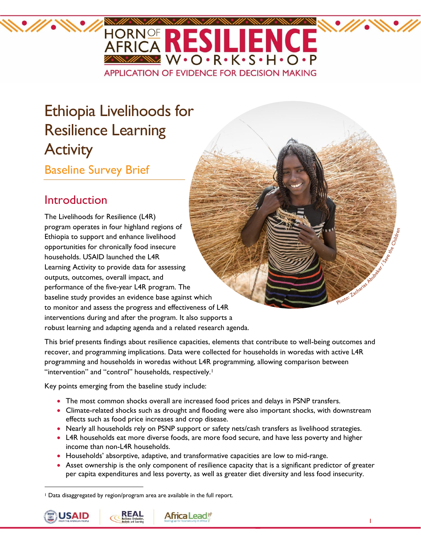

# Ethiopia Livelihoods for Resilience Learning **Activity**

# Baseline Survey Brief

# Introduction

The Livelihoods for Resilience (L4R) program operates in four highland regions of Ethiopia to support and enhance livelihood opportunities for chronically food insecure households. USAID launched the L4R Learning Activity to provide data for assessing outputs, outcomes, overall impact, and performance of the five-year L4R program. The baseline study provides an evidence base against which to monitor and assess the progress and effectiveness of L4R interventions during and after the program. It also supports a robust learning and adapting agenda and a related research agenda.

This brief presents findings about resilience capacities, elements that contribute to well-being outcomes and recover, and programming implications. Data were collected for households in woredas with active L4R programming and households in woredas without L4R programming, allowing comparison between "intervention" and "control" households, respectively.<sup>1</sup>

Key points emerging from the baseline study include:

- The most common shocks overall are increased food prices and delays in PSNP transfers.
- Climate-related shocks such as drought and flooding were also important shocks, with downstream effects such as food price increases and crop disease.
- Nearly all households rely on PSNP support or safety nets/cash transfers as livelihood strategies.
- L4R households eat more diverse foods, are more food secure, and have less poverty and higher income than non-L4R households.
- Households' absorptive, adaptive, and transformative capacities are low to mid-range.
- Asset ownership is the only component of resilience capacity that is a significant predictor of greater per capita expenditures and less poverty, as well as greater diet diversity and less food insecurity.

<sup>1</sup> Data disaggregated by region/program area are available in the full report.



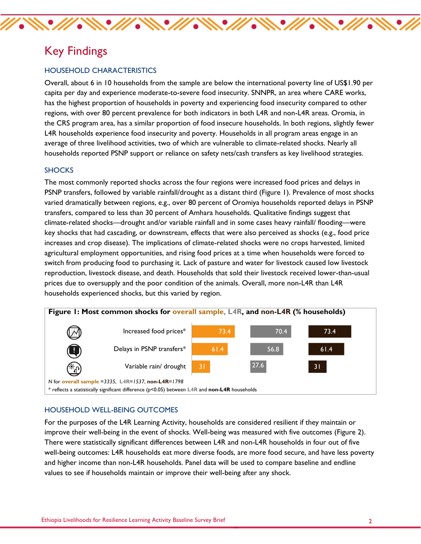# Key Findings

#### HOUSEHOLD CHARACTERISTICS

Overall, about 6 in 10 households from the sample are below the international poverty line of US\$1.90 per capita per day and experience moderate-to-severe food insecurity. SNNPR, an area where CARE works, has the highest proportion of households in poverty and experiencing food insecurity compared to other regions, with over 80 percent prevalence for both indicators in both L4R and non-L4R areas. Oromia, in the CRS program area, has a similar proportion of food insecure households. In both regions, slightly fewer L4R households experience food insecurity and poverty. Households in all program areas engage in an average of three livelihood activities, two of which are vulnerable to climate-related shocks. Nearly all households reported PSNP support or reliance on safety nets/cash transfers as key livelihood strategies.

 $\mathscr{W}\mathscr{N}\mathscr{M}\mathscr{N}\mathscr{M}\mathscr{N}\mathscr{N}\mathscr{M}\mathscr{N}\mathscr{N}\mathscr{N}\mathscr{N}$ 

#### **SHOCKS**

The most commonly reported shocks across the four regions were increased food prices and delays in PSNP transfers, followed by variable rainfall/drought as a distant third [\(Figure 1\)](#page-1-0). Prevalence of most shocks varied dramatically between regions, e.g., over 80 percent of Oromiya households reported delays in PSNP transfers, compared to less than 30 percent of Amhara households. Qualitative findings suggest that climate-related shocks—drought and/or variable rainfall and in some cases heavy rainfall/ flooding—were key shocks that had cascading, or downstream, effects that were also perceived as shocks (e.g., food price increases and crop disease). The implications of climate-related shocks were no crops harvested, limited agricultural employment opportunities, and rising food prices at a time when households were forced to switch from producing food to purchasing it. Lack of pasture and water for livestock caused low livestock reproduction, livestock disease, and death. Households that sold their livestock received lower-than-usual prices due to oversupply and the poor condition of the animals. Overall, more non-L4R than L4R households experienced shocks, but this varied by region.

<span id="page-1-0"></span>

#### HOUSEHOLD WELL-BEING OUTCOMES

For the purposes of the L4R Learning Activity, households are considered resilient if they maintain or improve their well-being in the event of shocks. Well-being was measured with five outcomes [\(Figure 2\)](#page-2-0). There were statistically significant differences between L4R and non-L4R households in four out of five well-being outcomes: L4R households eat more diverse foods, are more food secure, and have less poverty and higher income than non-L4R households. Panel data will be used to compare baseline and endline values to see if households maintain or improve their well-being after any shock.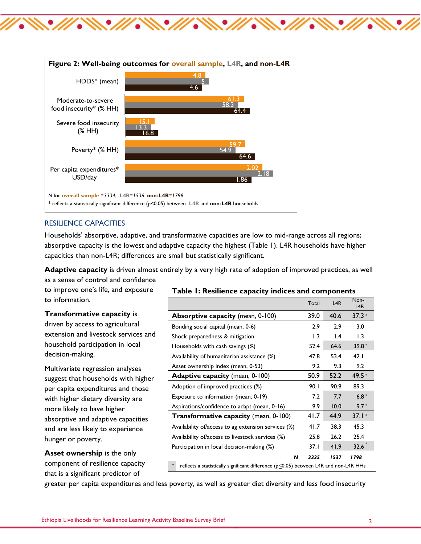

<span id="page-2-0"></span>

#### RESILIENCE CAPACITIES

Households' absorptive, adaptive, and transformative capacities are low to mid-range across all regions; absorptive capacity is the lowest and adaptive capacity the highest [\(Table 1\)](#page-2-1). L4R households have higher capacities than non-L4R; differences are small but statistically significant.

**Adaptive capacity** is driven almost entirely by a very high rate of adoption of improved practices, as well as a sense of control and confidence

to improve one's life, and exposure to information.

#### **Transformative capacity** is

driven by access to agricultural extension and livestock services and household participation in local decision-making.

Multivariate regression analyses suggest that households with higher per capita expenditures and those with higher dietary diversity are more likely to have higher absorptive and adaptive capacities and are less likely to experience hunger or poverty.

**Asset ownership** is the only component of resilience capacity that is a significant predictor of

#### <span id="page-2-1"></span>**Table 1: Resilience capacity indices and components**

|                                                                                                        | Total | L4R             | Non-<br>L4R |
|--------------------------------------------------------------------------------------------------------|-------|-----------------|-------------|
| <b>Absorptive capacity</b> (mean, 0-100)                                                               | 39.0  | 40.6            | $37.3*$     |
| Bonding social capital (mean, 0-6)                                                                     | 2.9   | 2.9             | 3.0         |
| Shock preparedness & mitigation                                                                        | 1.3   | $\mathsf{I}$ .4 | 1.3         |
| Households with cash savings (%)                                                                       | 52.4  | 64.6            | $39.8*$     |
| Availability of humanitarian assistance (%)                                                            | 47.8  | 53.4            | 42.1        |
| Asset ownership index (mean, 0-53)                                                                     | 9.2   | 9.3             | 9.2         |
| <b>Adaptive capacity</b> (mean, 0-100)                                                                 | 50.9  | 52.2            | $49.5*$     |
| Adoption of improved practices (%)                                                                     | 90.1  | 90.9            | 89.3        |
| Exposure to information (mean, 0-19)                                                                   | 7.2   | 7.7             | $6.8*$      |
| Aspirations/confidence to adapt (mean, 0-16)                                                           | 9.9   | 10.0            | $9.7*$      |
| Transformative capacity (mean, 0-100)                                                                  | 41.7  | 44.9            | $37.1*$     |
| Availability of/access to ag extension services (%)                                                    | 41.7  | 38.3            | 45.3        |
| Availability of/access to livestock services (%)                                                       | 25.8  | 26.2            | 25.4        |
| Participation in local decision-making (%)                                                             | 37.1  | 41.9            | 32.6        |
| N                                                                                                      | 3335  | 1537            | 1798        |
| $\ast$<br>reflects a statistically significant difference ( $p \le 0.05$ ) between L4R and non-L4R HHs |       |                 |             |

greater per capita expenditures and less poverty, as well as greater diet diversity and less food insecurity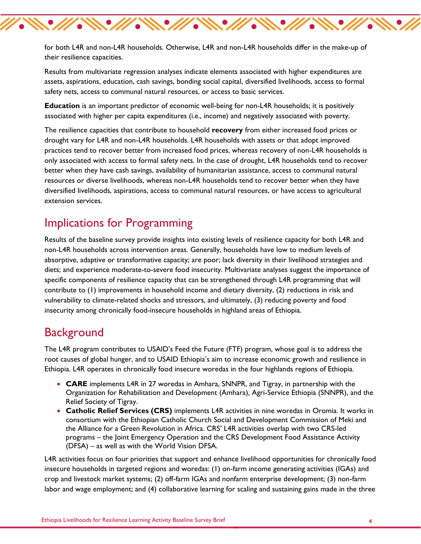for both L4R and non-L4R households. Otherwise, L4R and non-L4R households differ in the make-up of their resilience capacities.

**AN' MAN' MAN' MY N** 

Results from multivariate regression analyses indicate elements associated with higher expenditures are assets, aspirations, education, cash savings, bonding social capital, diversified livelihoods, access to formal safety nets, access to communal natural resources, or access to basic services.

**Education** is an important predictor of economic well-being for non-L4R households; it is positively associated with higher per capita expenditures (i.e., income) and negatively associated with poverty.

The resilience capacities that contribute to household **recovery** from either increased food prices or drought vary for L4R and non-L4R households. L4R households with assets or that adopt improved practices tend to recover better from increased food prices, whereas recovery of non-L4R households is only associated with access to formal safety nets. In the case of drought, L4R households tend to recover better when they have cash savings, availability of humanitarian assistance, access to communal natural resources or diverse livelihoods, whereas non-L4R households tend to recover better when they have diversified livelihoods, aspirations, access to communal natural resources, or have access to agricultural extension services.

# Implications for Programming

Results of the baseline survey provide insights into existing levels of resilience capacity for both L4R and non-L4R households across intervention areas. Generally, households have low to medium levels of absorptive, adaptive or transformative capacity; are poor; lack diversity in their livelihood strategies and diets; and experience moderate-to-severe food insecurity. Multivariate analyses suggest the importance of specific components of resilience capacity that can be strengthened through L4R programming that will contribute to (1) improvements in household income and dietary diversity, (2) reductions in risk and vulnerability to climate-related shocks and stressors, and ultimately, (3) reducing poverty and food insecurity among chronically food-insecure households in highland areas of Ethiopia.

### **Background**

The L4R program contributes to USAID's Feed the Future (FTF) program, whose goal is to address the root causes of global hunger, and to USAID Ethiopia's aim to increase economic growth and resilience in Ethiopia. L4R operates in chronically food insecure woredas in the four highlands regions of Ethiopia.

- **CARE** implements L4R in 27 woredas in Amhara, SNNPR, and Tigray, in partnership with the Organization for Rehabilitation and Development (Amhara), Agri-Service Ethiopia (SNNPR), and the Relief Society of Tigray.
- **Catholic Relief Services (CRS)** implements L4R activities in nine woredas in Oromia. It works in consortium with the Ethiopian Catholic Church Social and Development Commission of Meki and the Alliance for a Green Revolution in Africa. CRS' L4R activities overlap with two CRS-led programs – the Joint Emergency Operation and the CRS Development Food Assistance Activity (DFSA) – as well as with the World Vision DFSA.

L4R activities focus on four priorities that support and enhance livelihood opportunities for chronically food insecure households in targeted regions and woredas: (1) on-farm income generating activities (IGAs) and crop and livestock market systems; (2) off-farm IGAs and nonfarm enterprise development; (3) non-farm labor and wage employment; and (4) collaborative learning for scaling and sustaining gains made in the three